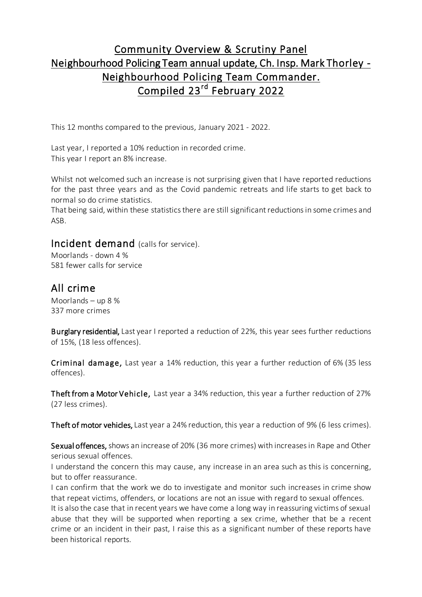# Community Overview & Scrutiny Panel Neighbourhood Policing Team annual update, Ch. Insp. Mark Thorley - Neighbourhood Policing Team Commander. Compiled 23<sup>rd</sup> February 2022

This 12 months compared to the previous, January 2021 - 2022.

Last year, I reported a 10% reduction in recorded crime. This year I report an 8% increase.

Whilst not welcomed such an increase is not surprising given that I have reported reductions for the past three years and as the Covid pandemic retreats and life starts to get back to normal so do crime statistics.

That being said, within these statistics there are still significant reductions in some crimes and ASB.

#### Incident demand (calls for service).

Moorlands - down 4 % 581 fewer calls for service

### All crime

Moorlands – up 8 % 337 more crimes

Burglary residential, Last year I reported a reduction of 22%, this year sees further reductions of 15%, (18 less offences).

Criminal damage, Last year a 14% reduction, this year a further reduction of 6% (35 less offences).

Theft from a Motor Vehicle, Last year a 34% reduction, this year a further reduction of 27% (27 less crimes).

Theft of motor vehicles, Last year a 24% reduction, this year a reduction of 9% (6 less crimes).

Sexual offences, shows an increase of 20% (36 more crimes) with increases in Rape and Other serious sexual offences.

I understand the concern this may cause, any increase in an area such as this is concerning, but to offer reassurance.

I can confirm that the work we do to investigate and monitor such increases in crime show that repeat victims, offenders, or locations are not an issue with regard to sexual offences.

It is also the case that in recent years we have come a long way in reassuring victims of sexual abuse that they will be supported when reporting a sex crime, whether that be a recent crime or an incident in their past, I raise this as a significant number of these reports have been historical reports.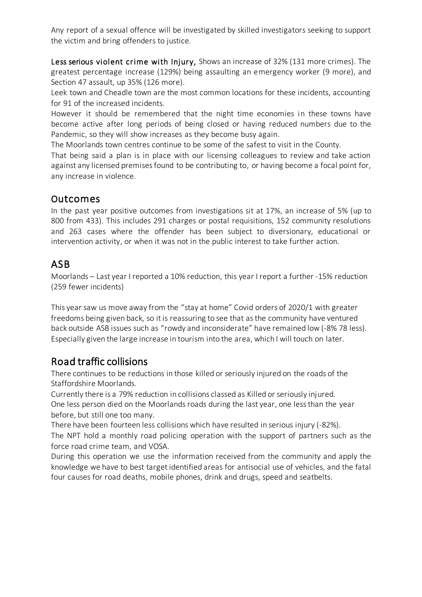Any report of a sexual offence will be investigated by skilled investigators seeking to support the victim and bring offenders to justice.

Less serious violent crime with Injury, Shows an increase of 32% (131 more crimes). The greatest percentage increase (129%) being assaulting an emergency worker (9 more), and Section 47 assault, up 35% (126 more).

Leek town and Cheadle town are the most common locations for these incidents, accounting for 91 of the increased incidents.

However it should be remembered that the night time economies in these towns have become active after long periods of being closed or having reduced numbers due to the Pandemic, so they will show increases as they become busy again.

The Moorlands town centres continue to be some of the safest to visit in the County.

That being said a plan is in place with our licensing colleagues to review and take action against any licensed premises found to be contributing to, or having become a focal point for, any increase in violence.

#### Outcomes

In the past year positive outcomes from investigations sit at 17%, an increase of 5% (up to 800 from 433). This includes 291 charges or postal requisitions, 152 community resolutions and 263 cases where the offender has been subject to diversionary, educational or intervention activity, or when it was not in the public interest to take further action.

# ASB

Moorlands – Last year I reported a 10% reduction, this year I report a further -15% reduction (259 fewer incidents)

This year saw us move away from the "stay at home" Covid orders of 2020/1 with greater freedoms being given back, so it is reassuring to see that as the community have ventured back outside ASB issues such as "rowdy and inconsiderate" have remained low (-8% 78 less). Especially given the large increase in tourism into the area, which I will touch on later.

# Road traffic collisions

There continues to be reductions in those killed or seriously injured on the roads of the Staffordshire Moorlands.

Currently there is a 79% reduction in collisions classed as Killed or seriously injured. One less person died on the Moorlands roads during the last year, one less than the year before, but still one too many.

There have been fourteen less collisions which have resulted in serious injury (-82%).

The NPT hold a monthly road policing operation with the support of partners such as the force road crime team, and VOSA.

During this operation we use the information received from the community and apply the knowledge we have to best target identified areas for antisocial use of vehicles, and the fatal four causes for road deaths, mobile phones, drink and drugs, speed and seatbelts.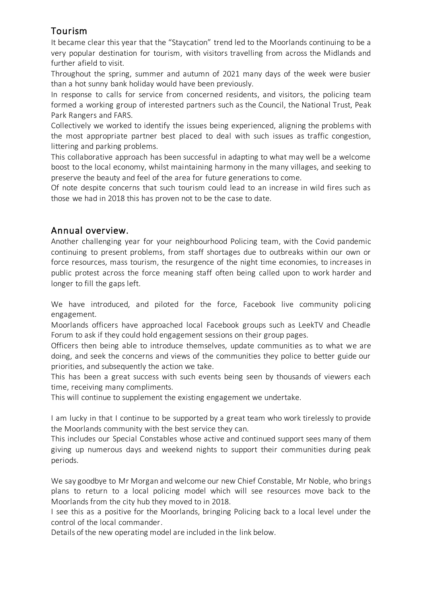# Tourism

It became clear this year that the "Staycation" trend led to the Moorlands continuing to be a very popular destination for tourism, with visitors travelling from across the Midlands and further afield to visit.

Throughout the spring, summer and autumn of 2021 many days of the week were busier than a hot sunny bank holiday would have been previously.

In response to calls for service from concerned residents, and visitors, the policing team formed a working group of interested partners such as the Council, the National Trust, Peak Park Rangers and FARS.

Collectively we worked to identify the issues being experienced, aligning the problems with the most appropriate partner best placed to deal with such issues as traffic congestion, littering and parking problems.

This collaborative approach has been successful in adapting to what may well be a welcome boost to the local economy, whilst maintaining harmony in the many villages, and seeking to preserve the beauty and feel of the area for future generations to come.

Of note despite concerns that such tourism could lead to an increase in wild fires such as those we had in 2018 this has proven not to be the case to date.

# Annual overview.

Another challenging year for your neighbourhood Policing team, with the Covid pandemic continuing to present problems, from staff shortages due to outbreaks within our own or force resources, mass tourism, the resurgence of the night time economies, to increases in public protest across the force meaning staff often being called upon to work harder and longer to fill the gaps left.

We have introduced, and piloted for the force, Facebook live community policing engagement.

Moorlands officers have approached local Facebook groups such as LeekTV and Cheadle Forum to ask if they could hold engagement sessions on their group pages.

Officers then being able to introduce themselves, update communities as to what we are doing, and seek the concerns and views of the communities they police to better guide our priorities, and subsequently the action we take.

This has been a great success with such events being seen by thousands of viewers each time, receiving many compliments.

This will continue to supplement the existing engagement we undertake.

I am lucky in that I continue to be supported by a great team who work tirelessly to provide the Moorlands community with the best service they can.

This includes our Special Constables whose active and continued support sees many of them giving up numerous days and weekend nights to support their communities during peak periods.

We say goodbye to Mr Morgan and welcome our new Chief Constable, Mr Noble, who brings plans to return to a local policing model which will see resources move back to the Moorlands from the city hub they moved to in 2018.

I see this as a positive for the Moorlands, bringing Policing back to a local level under the control of the local commander.

Details of the new operating model are included in the link below.